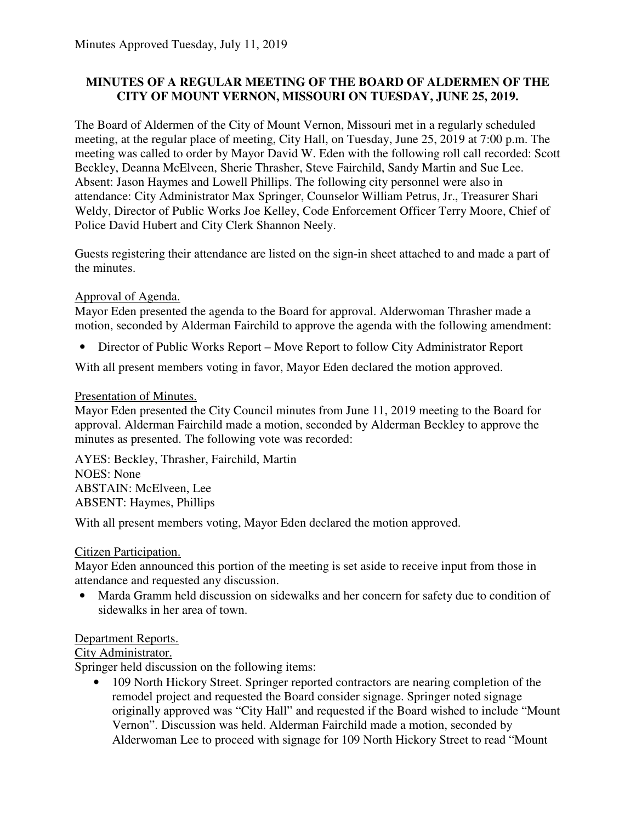### **MINUTES OF A REGULAR MEETING OF THE BOARD OF ALDERMEN OF THE CITY OF MOUNT VERNON, MISSOURI ON TUESDAY, JUNE 25, 2019.**

The Board of Aldermen of the City of Mount Vernon, Missouri met in a regularly scheduled meeting, at the regular place of meeting, City Hall, on Tuesday, June 25, 2019 at 7:00 p.m. The meeting was called to order by Mayor David W. Eden with the following roll call recorded: Scott Beckley, Deanna McElveen, Sherie Thrasher, Steve Fairchild, Sandy Martin and Sue Lee. Absent: Jason Haymes and Lowell Phillips. The following city personnel were also in attendance: City Administrator Max Springer, Counselor William Petrus, Jr., Treasurer Shari Weldy, Director of Public Works Joe Kelley, Code Enforcement Officer Terry Moore, Chief of Police David Hubert and City Clerk Shannon Neely.

Guests registering their attendance are listed on the sign-in sheet attached to and made a part of the minutes.

### Approval of Agenda.

Mayor Eden presented the agenda to the Board for approval. Alderwoman Thrasher made a motion, seconded by Alderman Fairchild to approve the agenda with the following amendment:

• Director of Public Works Report – Move Report to follow City Administrator Report

With all present members voting in favor, Mayor Eden declared the motion approved.

### Presentation of Minutes.

Mayor Eden presented the City Council minutes from June 11, 2019 meeting to the Board for approval. Alderman Fairchild made a motion, seconded by Alderman Beckley to approve the minutes as presented. The following vote was recorded:

AYES: Beckley, Thrasher, Fairchild, Martin NOES: None ABSTAIN: McElveen, Lee ABSENT: Haymes, Phillips

With all present members voting, Mayor Eden declared the motion approved.

### Citizen Participation.

Mayor Eden announced this portion of the meeting is set aside to receive input from those in attendance and requested any discussion.

• Marda Gramm held discussion on sidewalks and her concern for safety due to condition of sidewalks in her area of town.

# Department Reports.

### City Administrator.

Springer held discussion on the following items:

• 109 North Hickory Street. Springer reported contractors are nearing completion of the remodel project and requested the Board consider signage. Springer noted signage originally approved was "City Hall" and requested if the Board wished to include "Mount Vernon". Discussion was held. Alderman Fairchild made a motion, seconded by Alderwoman Lee to proceed with signage for 109 North Hickory Street to read "Mount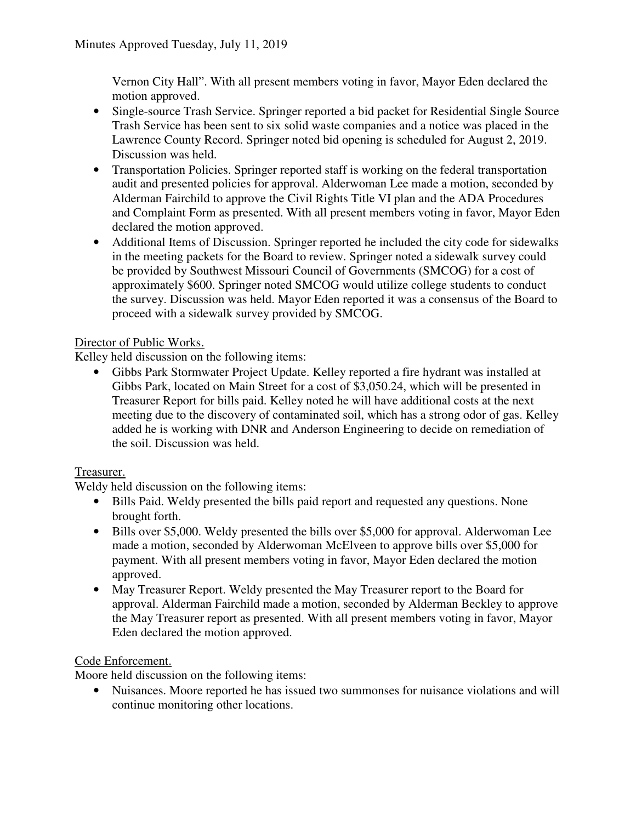Vernon City Hall". With all present members voting in favor, Mayor Eden declared the motion approved.

- Single-source Trash Service. Springer reported a bid packet for Residential Single Source Trash Service has been sent to six solid waste companies and a notice was placed in the Lawrence County Record. Springer noted bid opening is scheduled for August 2, 2019. Discussion was held.
- Transportation Policies. Springer reported staff is working on the federal transportation audit and presented policies for approval. Alderwoman Lee made a motion, seconded by Alderman Fairchild to approve the Civil Rights Title VI plan and the ADA Procedures and Complaint Form as presented. With all present members voting in favor, Mayor Eden declared the motion approved.
- Additional Items of Discussion. Springer reported he included the city code for sidewalks in the meeting packets for the Board to review. Springer noted a sidewalk survey could be provided by Southwest Missouri Council of Governments (SMCOG) for a cost of approximately \$600. Springer noted SMCOG would utilize college students to conduct the survey. Discussion was held. Mayor Eden reported it was a consensus of the Board to proceed with a sidewalk survey provided by SMCOG.

# Director of Public Works.

Kelley held discussion on the following items:

• Gibbs Park Stormwater Project Update. Kelley reported a fire hydrant was installed at Gibbs Park, located on Main Street for a cost of \$3,050.24, which will be presented in Treasurer Report for bills paid. Kelley noted he will have additional costs at the next meeting due to the discovery of contaminated soil, which has a strong odor of gas. Kelley added he is working with DNR and Anderson Engineering to decide on remediation of the soil. Discussion was held.

# Treasurer.

Weldy held discussion on the following items:

- Bills Paid. Weldy presented the bills paid report and requested any questions. None brought forth.
- Bills over \$5,000. Weldy presented the bills over \$5,000 for approval. Alderwoman Lee made a motion, seconded by Alderwoman McElveen to approve bills over \$5,000 for payment. With all present members voting in favor, Mayor Eden declared the motion approved.
- May Treasurer Report. Weldy presented the May Treasurer report to the Board for approval. Alderman Fairchild made a motion, seconded by Alderman Beckley to approve the May Treasurer report as presented. With all present members voting in favor, Mayor Eden declared the motion approved.

# Code Enforcement.

Moore held discussion on the following items:

• Nuisances. Moore reported he has issued two summonses for nuisance violations and will continue monitoring other locations.